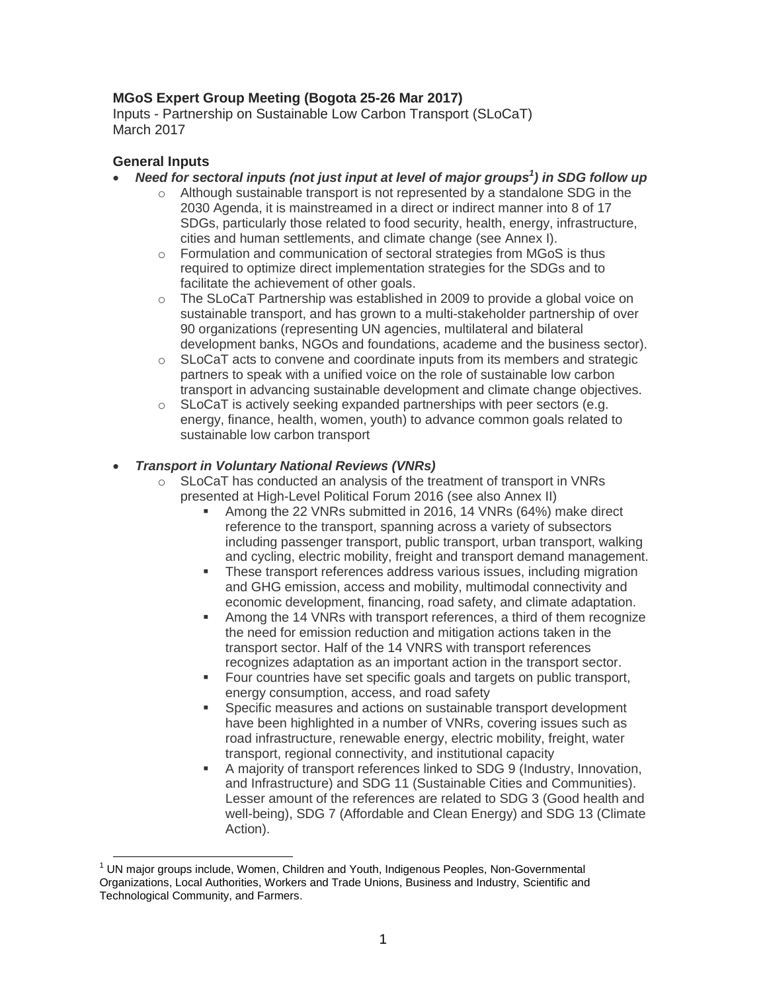### **MGoS Expert Group Meeting (Bogota 25-26 Mar 2017)**

Inputs - Partnership on Sustainable Low Carbon Transport (SLoCaT) March 2017

### **General Inputs**

- *Need for sectoral inputs (not just input at level of major groups 1 ) in SDG follow up*
	- $\circ$  Although sustainable transport is not represented by a standalone SDG in the 2030 Agenda, it is mainstreamed in a direct or indirect manner into 8 of 17 SDGs, particularly those related to food security, health, energy, infrastructure, cities and human settlements, and climate change (see Annex I).
	- o Formulation and communication of sectoral strategies from MGoS is thus required to optimize direct implementation strategies for the SDGs and to facilitate the achievement of other goals.
	- o The SLoCaT Partnership was established in 2009 to provide a global voice on sustainable transport, and has grown to a multi-stakeholder partnership of over 90 organizations (representing UN agencies, multilateral and bilateral development banks, NGOs and foundations, academe and the business sector).
	- $\circ$  SLoCaT acts to convene and coordinate inputs from its members and strategic partners to speak with a unified voice on the role of sustainable low carbon transport in advancing sustainable development and climate change objectives.
	- $\circ$  SLoCaT is actively seeking expanded partnerships with peer sectors (e.g. energy, finance, health, women, youth) to advance common goals related to sustainable low carbon transport

### *Transport in Voluntary National Reviews (VNRs)*

- $\circ$  SLoCaT has conducted an analysis of the treatment of transport in VNRs presented at High-Level Political Forum 2016 (see also Annex II)
	- Among the 22 VNRs submitted in 2016, 14 VNRs (64%) make direct reference to the transport, spanning across a variety of subsectors including passenger transport, public transport, urban transport, walking and cycling, electric mobility, freight and transport demand management.
	- **These transport references address various issues, including migration** and GHG emission, access and mobility, multimodal connectivity and economic development, financing, road safety, and climate adaptation.
	- Among the 14 VNRs with transport references, a third of them recognize the need for emission reduction and mitigation actions taken in the transport sector. Half of the 14 VNRS with transport references recognizes adaptation as an important action in the transport sector.
	- Four countries have set specific goals and targets on public transport, energy consumption, access, and road safety
	- Specific measures and actions on sustainable transport development have been highlighted in a number of VNRs, covering issues such as road infrastructure, renewable energy, electric mobility, freight, water transport, regional connectivity, and institutional capacity
	- A majority of transport references linked to SDG 9 (Industry, Innovation, and Infrastructure) and SDG 11 (Sustainable Cities and Communities). Lesser amount of the references are related to SDG 3 (Good health and well-being), SDG 7 (Affordable and Clean Energy) and SDG 13 (Climate Action).

 $1$  UN maior groups include, Women, Children and Youth, Indigenous Peoples, Non-Governmental Organizations, Local Authorities, Workers and Trade Unions, Business and Industry, Scientific and Technological Community, and Farmers.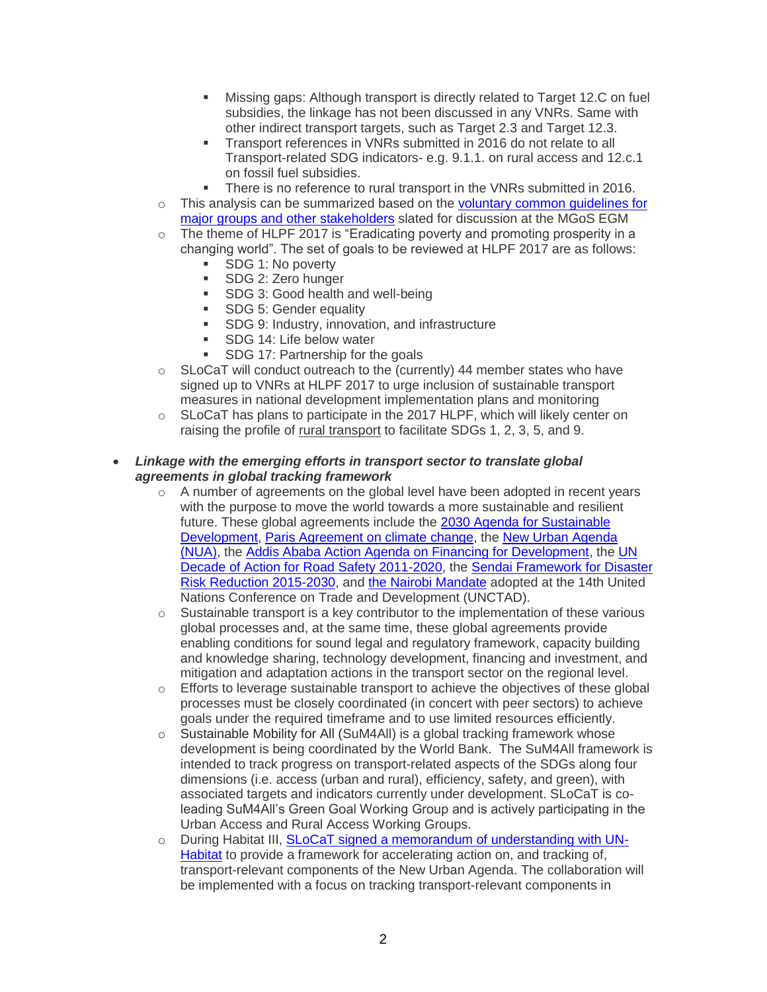- Missing gaps: Although transport is directly related to Target 12.C on fuel subsidies, the linkage has not been discussed in any VNRs. Same with other indirect transport targets, such as Target 2.3 and Target 12.3.
- Transport references in VNRs submitted in 2016 do not relate to all Transport-related SDG indicators- e.g. 9.1.1. on rural access and 12.c.1 on fossil fuel subsidies.
- There is no reference to rural transport in the VNRs submitted in 2016.
- $\circ$  This analysis can be summarized based on the voluntary common quidelines for [major groups and other stakeholders](https://sustainabledevelopment.un.org/content/documents/10434Proposal%20voluntary%20common%20guidelines%20MGoS%20report%20to%20the%20HLPF%2011.7.pdf) slated for discussion at the MGoS EGM
- o The theme of HLPF 2017 is "Eradicating poverty and promoting prosperity in a changing world". The set of goals to be reviewed at HLPF 2017 are as follows:
	- SDG 1: No poverty
	- **SDG 2: Zero hunger**
	- **SDG 3: Good health and well-being**
	- **SDG 5: Gender equality**
	- **SDG 9: Industry, innovation, and infrastructure**
	- SDG 14: Life below water
	- **SDG 17: Partnership for the goals**
- $\circ$  SLoCaT will conduct outreach to the (currently) 44 member states who have signed up to VNRs at HLPF 2017 to urge inclusion of sustainable transport measures in national development implementation plans and monitoring
- $\circ$  SLoCaT has plans to participate in the 2017 HLPF, which will likely center on raising the profile of rural transport to facilitate SDGs 1, 2, 3, 5, and 9.
- *Linkage with the emerging efforts in transport sector to translate global agreements in global tracking framework*
	- $\circ$  A number of agreements on the global level have been adopted in recent years with the purpose to move the world towards a more sustainable and resilient future. These global agreements include the [2030 Agenda for Sustainable](http://bit.ly/1Y3D3sN)  [Development,](http://bit.ly/1Y3D3sN) [Paris Agreement](http://bit.ly/2i5tQE8) on climate change, the [New Urban Agenda](http://bit.ly/2cQpBec) (NUA), the [Addis Ababa Action Agenda on Financing for Development,](http://bit.ly/1MsNqU6) th[e UN](http://www.who.int/roadsafety/decade_of_action/en/)  [Decade of Action for Road Safety 2011-2020,](http://www.who.int/roadsafety/decade_of_action/en/) the [Sendai Framework for Disaster](http://www.preventionweb.net/files/43291_sendaiframeworkfordrren.pdf)  [Risk Reduction 2015-2030,](http://www.preventionweb.net/files/43291_sendaiframeworkfordrren.pdf) and [the Nairobi Mandate](http://bit.ly/2iIktqS) adopted at the 14th United Nations Conference on Trade and Development (UNCTAD).
	- o Sustainable transport is a key contributor to the implementation of these various global processes and, at the same time, these global agreements provide enabling conditions for sound legal and regulatory framework, capacity building and knowledge sharing, technology development, financing and investment, and mitigation and adaptation actions in the transport sector on the regional level.
	- $\circ$  Efforts to leverage sustainable transport to achieve the objectives of these global processes must be closely coordinated (in concert with peer sectors) to achieve goals under the required timeframe and to use limited resources efficiently.
	- o Sustainable Mobility for All (SuM4All) is a global tracking framework whose development is being coordinated by the World Bank. The SuM4All framework is intended to track progress on transport-related aspects of the SDGs along four dimensions (i.e. access (urban and rural), efficiency, safety, and green), with associated targets and indicators currently under development. SLoCaT is coleading SuM4All's Green Goal Working Group and is actively participating in the Urban Access and Rural Access Working Groups.
	- o During Habitat III, **SLoCaT signed [a memorandum of understanding with UN-](http://www.slocat.net/news/1789)**[Habitat](http://www.slocat.net/news/1789) to provide a framework for accelerating action on, and tracking of, transport-relevant components of the New Urban Agenda. The collaboration will be implemented with a focus on tracking transport-relevant components in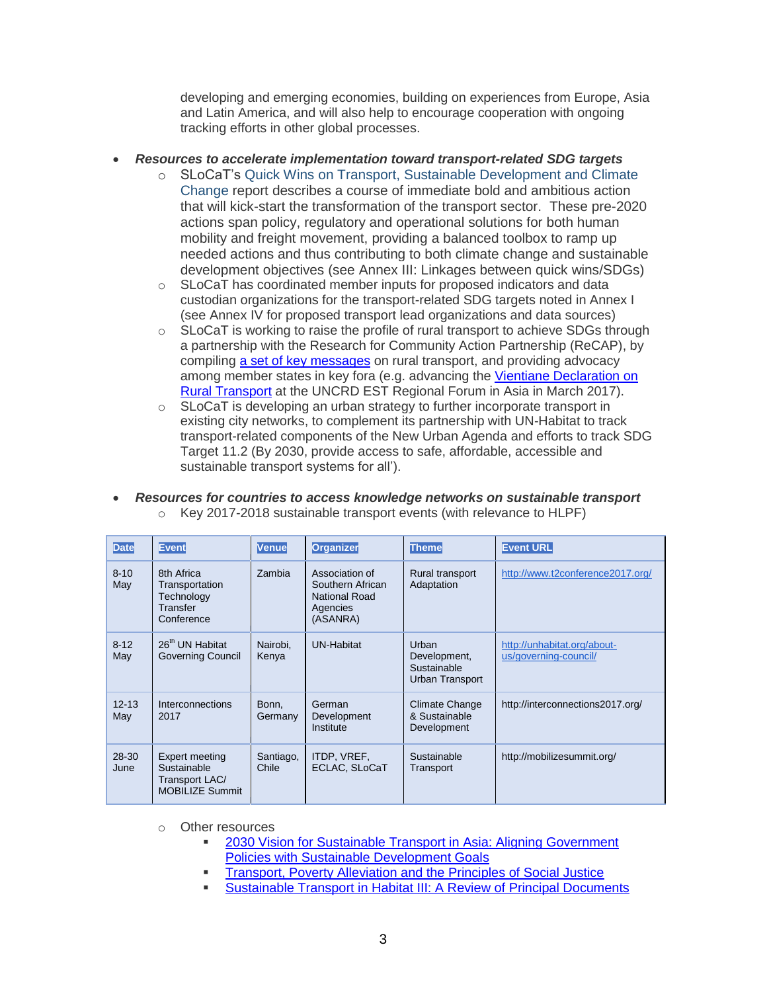developing and emerging economies, building on experiences from Europe, Asia and Latin America, and will also help to encourage cooperation with ongoing tracking efforts in other global processes.

### *Resources to accelerate implementation toward transport-related SDG targets*

- o SLoCaT's [Quick Wins on Transport, Sustainable Development and Climate](http://www.ppmc-transport.org/wp-content/uploads/2016/11/SLoCaT-Quick-Wins-Report-1.pdf)  [Change](http://www.ppmc-transport.org/wp-content/uploads/2016/11/SLoCaT-Quick-Wins-Report-1.pdf) report describes a course of immediate bold and ambitious action that will kick-start the transformation of the transport sector. These pre-2020 actions span policy, regulatory and operational solutions for both human mobility and freight movement, providing a balanced toolbox to ramp up needed actions and thus contributing to both climate change and sustainable development objectives (see Annex III: Linkages between quick wins/SDGs)
- $\circ$  SLoCaT has coordinated member inputs for proposed indicators and data custodian organizations for the transport-related SDG targets noted in Annex I (see Annex IV for proposed transport lead organizations and data sources)
- $\circ$  SLoCaT is working to raise the profile of rural transport to achieve SDGs through a partnership with the Research for Community Action Partnership (ReCAP), by compiling [a set of key messages](http://www.slocat.net/news/1816) on rural transport, and providing advocacy among member states in key fora (e.g. advancing the [Vientiane Declaration on](http://www.slocat.net/news/1818)  [Rural Transport](http://www.slocat.net/news/1818) at the UNCRD EST Regional Forum in Asia in March 2017).
- o SLoCaT is developing an urban strategy to further incorporate transport in existing city networks, to complement its partnership with UN-Habitat to track transport-related components of the New Urban Agenda and efforts to track SDG Target 11.2 (By 2030, provide access to safe, affordable, accessible and sustainable transport systems for all').

| <b>Date</b>       | <b>Event</b>                                                              | <b>Venue</b>       | <b>Organizer</b>                                                            | <b>Theme</b>                                            | <b>Event URL</b>                                     |
|-------------------|---------------------------------------------------------------------------|--------------------|-----------------------------------------------------------------------------|---------------------------------------------------------|------------------------------------------------------|
| $8 - 10$<br>May   | 8th Africa<br>Transportation<br>Technology<br>Transfer<br>Conference      | Zambia             | Association of<br>Southern African<br>National Road<br>Agencies<br>(ASANRA) | Rural transport<br>Adaptation                           | http://www.t2conference2017.org/                     |
| $8 - 12$<br>May   | 26 <sup>th</sup> UN Habitat<br><b>Governing Council</b>                   | Nairobi.<br>Kenya  | <b>UN-Habitat</b>                                                           | Urban<br>Development,<br>Sustainable<br>Urban Transport | http://unhabitat.org/about-<br>us/governing-council/ |
| $12 - 13$<br>May  | Interconnections<br>2017                                                  | Bonn,<br>Germany   | German<br>Development<br>Institute                                          | Climate Change<br>& Sustainable<br>Development          | http://interconnections2017.org/                     |
| $28 - 30$<br>June | Expert meeting<br>Sustainable<br>Transport LAC/<br><b>MOBILIZE Summit</b> | Santiago,<br>Chile | ITDP, VREF,<br>ECLAC, SLoCaT                                                | Sustainable<br>Transport                                | http://mobilizesummit.org/                           |

 *Resources for countries to access knowledge networks on sustainable transport*  o Key 2017-2018 sustainable transport events (with relevance to HLPF)

- o Other resources
	- [2030 Vision for Sustainable Transport in Asia: Aligning Government](http://www.slocat.net/news/1817)  [Policies with Sustainable Development Goals](http://www.slocat.net/news/1817)
	- [Transport, Poverty Alleviation and the Principles of Social Justice](http://www.ppmc-transport.org/transport-poverty-alleviation-and-the-principles-of-social-justice/)
	- [Sustainable Transport in Habitat III: A Review of Principal Documents](http://www.ppmc-transport.org/sustainable-transport-in-habitat-iii-a-review-of-principal-documents/)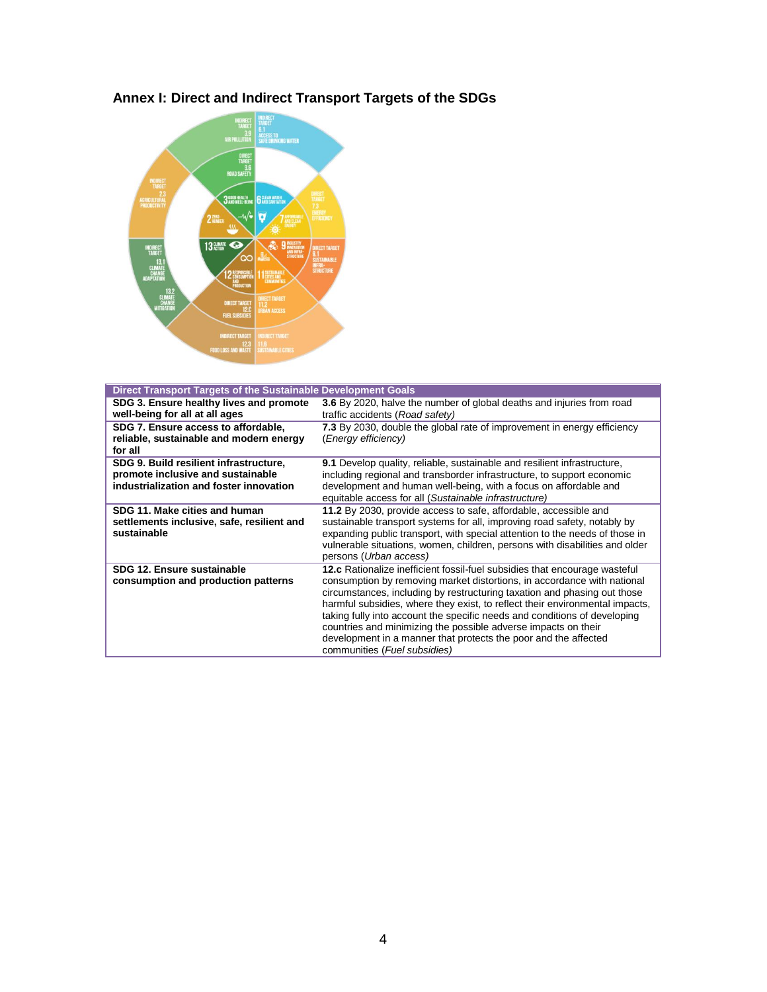

# **Annex I: Direct and Indirect Transport Targets of the SDGs**

| Direct Transport Targets of the Sustainable Development Goals |                                                                                   |
|---------------------------------------------------------------|-----------------------------------------------------------------------------------|
| SDG 3. Ensure healthy lives and promote                       | 3.6 By 2020, halve the number of global deaths and injuries from road             |
| well-being for all at all ages                                | traffic accidents (Road safety)                                                   |
| SDG 7. Ensure access to affordable,                           | 7.3 By 2030, double the global rate of improvement in energy efficiency           |
| reliable, sustainable and modern energy                       | (Energy efficiency)                                                               |
| for all                                                       |                                                                                   |
| SDG 9. Build resilient infrastructure,                        | <b>9.1</b> Develop quality, reliable, sustainable and resilient infrastructure,   |
| promote inclusive and sustainable                             | including regional and transborder infrastructure, to support economic            |
| industrialization and foster innovation                       | development and human well-being, with a focus on affordable and                  |
|                                                               | equitable access for all (Sustainable infrastructure)                             |
| SDG 11. Make cities and human                                 | 11.2 By 2030, provide access to safe, affordable, accessible and                  |
| settlements inclusive, safe, resilient and                    | sustainable transport systems for all, improving road safety, notably by          |
| sustainable                                                   | expanding public transport, with special attention to the needs of those in       |
|                                                               | vulnerable situations, women, children, persons with disabilities and older       |
|                                                               | persons (Urban access)                                                            |
| SDG 12. Ensure sustainable                                    | <b>12.c</b> Rationalize inefficient fossil-fuel subsidies that encourage wasteful |
| consumption and production patterns                           | consumption by removing market distortions, in accordance with national           |
|                                                               | circumstances, including by restructuring taxation and phasing out those          |
|                                                               | harmful subsidies, where they exist, to reflect their environmental impacts,      |
|                                                               | taking fully into account the specific needs and conditions of developing         |
|                                                               | countries and minimizing the possible adverse impacts on their                    |
|                                                               | development in a manner that protects the poor and the affected                   |
|                                                               | communities (Fuel subsidies)                                                      |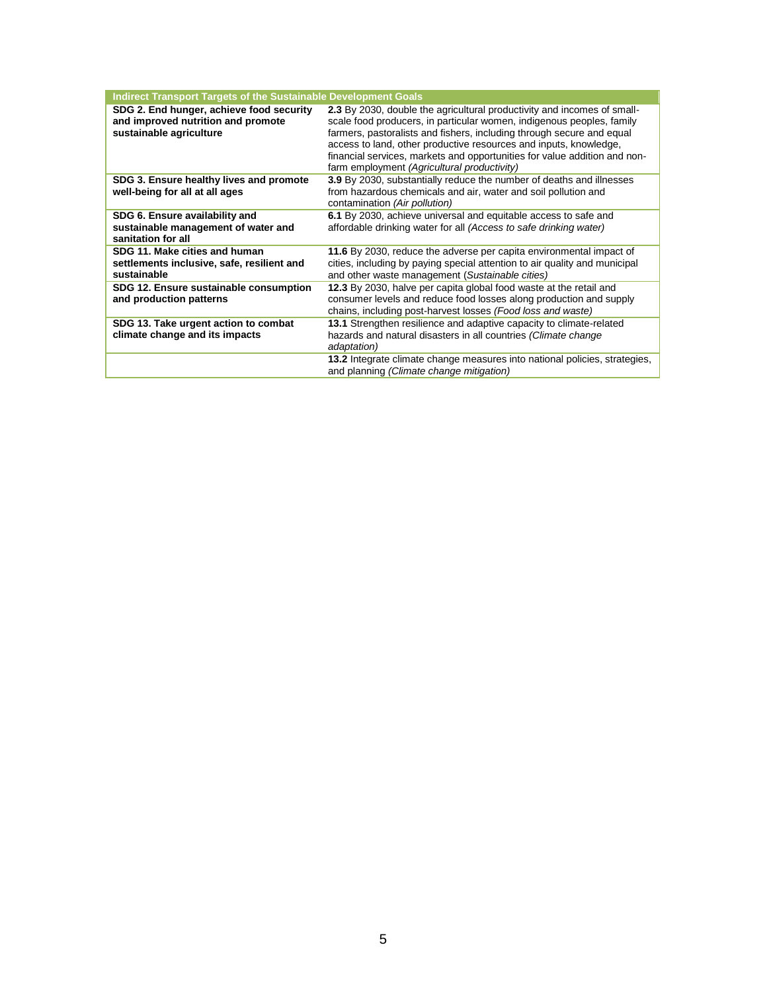| <b>Indirect Transport Targets of the Sustainable Development Goals</b>                                    |                                                                                                                                                                                                                                                                                                                                                                                                                            |
|-----------------------------------------------------------------------------------------------------------|----------------------------------------------------------------------------------------------------------------------------------------------------------------------------------------------------------------------------------------------------------------------------------------------------------------------------------------------------------------------------------------------------------------------------|
| SDG 2. End hunger, achieve food security<br>and improved nutrition and promote<br>sustainable agriculture | 2.3 By 2030, double the agricultural productivity and incomes of small-<br>scale food producers, in particular women, indigenous peoples, family<br>farmers, pastoralists and fishers, including through secure and equal<br>access to land, other productive resources and inputs, knowledge,<br>financial services, markets and opportunities for value addition and non-<br>farm employment (Agricultural productivity) |
| SDG 3. Ensure healthy lives and promote<br>well-being for all at all ages                                 | 3.9 By 2030, substantially reduce the number of deaths and illnesses<br>from hazardous chemicals and air, water and soil pollution and<br>contamination (Air pollution)                                                                                                                                                                                                                                                    |
| SDG 6. Ensure availability and<br>sustainable management of water and<br>sanitation for all               | 6.1 By 2030, achieve universal and equitable access to safe and<br>affordable drinking water for all (Access to safe drinking water)                                                                                                                                                                                                                                                                                       |
| SDG 11. Make cities and human<br>settlements inclusive, safe, resilient and<br>sustainable                | 11.6 By 2030, reduce the adverse per capita environmental impact of<br>cities, including by paying special attention to air quality and municipal<br>and other waste management (Sustainable cities)                                                                                                                                                                                                                       |
| SDG 12. Ensure sustainable consumption<br>and production patterns                                         | 12.3 By 2030, halve per capita global food waste at the retail and<br>consumer levels and reduce food losses along production and supply<br>chains, including post-harvest losses (Food loss and waste)                                                                                                                                                                                                                    |
| SDG 13. Take urgent action to combat<br>climate change and its impacts                                    | 13.1 Strengthen resilience and adaptive capacity to climate-related<br>hazards and natural disasters in all countries (Climate change<br>adaptation)                                                                                                                                                                                                                                                                       |
|                                                                                                           | <b>13.2</b> Integrate climate change measures into national policies, strategies,<br>and planning (Climate change mitigation)                                                                                                                                                                                                                                                                                              |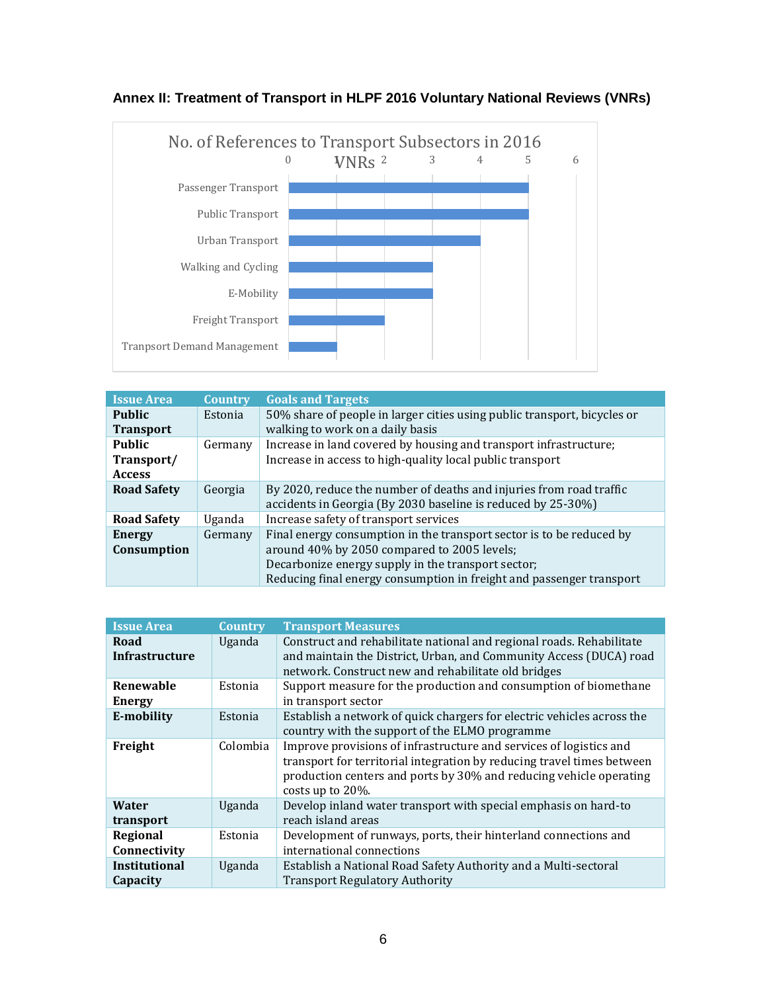

## **Annex II: Treatment of Transport in HLPF 2016 Voluntary National Reviews (VNRs)**

| <b>Issue Area</b>                            | <b>Country</b> | <b>Goals and Targets</b>                                                                                                                                                                                                                          |
|----------------------------------------------|----------------|---------------------------------------------------------------------------------------------------------------------------------------------------------------------------------------------------------------------------------------------------|
| <b>Public</b><br><b>Transport</b>            | Estonia        | 50% share of people in larger cities using public transport, bicycles or<br>walking to work on a daily basis                                                                                                                                      |
| <b>Public</b><br>Transport/<br><b>Access</b> | Germany        | Increase in land covered by housing and transport infrastructure;<br>Increase in access to high-quality local public transport                                                                                                                    |
| <b>Road Safety</b>                           | Georgia        | By 2020, reduce the number of deaths and injuries from road traffic<br>accidents in Georgia (By 2030 baseline is reduced by 25-30%)                                                                                                               |
| <b>Road Safety</b>                           | Uganda         | Increase safety of transport services                                                                                                                                                                                                             |
| Energy<br>Consumption                        | Germany        | Final energy consumption in the transport sector is to be reduced by<br>around 40% by 2050 compared to 2005 levels;<br>Decarbonize energy supply in the transport sector;<br>Reducing final energy consumption in freight and passenger transport |

| <b>Issue Area</b>                | <b>Country</b> | <b>Transport Measures</b>                                                                                                                                                                                                                  |
|----------------------------------|----------------|--------------------------------------------------------------------------------------------------------------------------------------------------------------------------------------------------------------------------------------------|
| Road<br><b>Infrastructure</b>    | Uganda         | Construct and rehabilitate national and regional roads. Rehabilitate<br>and maintain the District, Urban, and Community Access (DUCA) road<br>network. Construct new and rehabilitate old bridges                                          |
| Renewable<br><b>Energy</b>       | Estonia        | Support measure for the production and consumption of biomethane<br>in transport sector                                                                                                                                                    |
| E-mobility                       | Estonia        | Establish a network of quick chargers for electric vehicles across the<br>country with the support of the ELMO programme                                                                                                                   |
| Freight                          | Colombia       | Improve provisions of infrastructure and services of logistics and<br>transport for territorial integration by reducing travel times between<br>production centers and ports by 30% and reducing vehicle operating<br>costs up to $20\%$ . |
| Water<br>transport               | Uganda         | Develop inland water transport with special emphasis on hard-to<br>reach island areas                                                                                                                                                      |
| Regional<br>Connectivity         | Estonia        | Development of runways, ports, their hinterland connections and<br>international connections                                                                                                                                               |
| <b>Institutional</b><br>Capacity | Uganda         | Establish a National Road Safety Authority and a Multi-sectoral<br><b>Transport Regulatory Authority</b>                                                                                                                                   |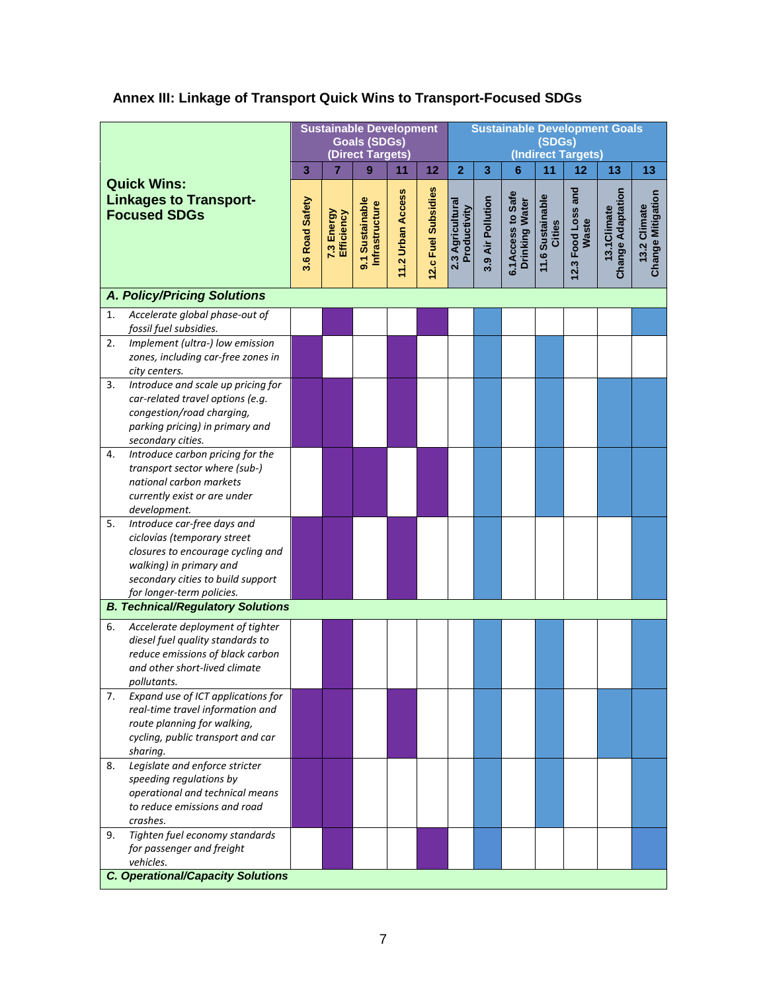# **Annex III: Linkage of Transport Quick Wins to Transport-Focused SDGs**

|                                                                                                                                                                                                                                                | <b>Sustainable Development</b> | <b>Sustainable Development Goals</b><br>(SDGs)<br>(Indirect Targets) |                                          |                   |                     |                                  |                   |                                     |                                   |                             |                                         |                                   |
|------------------------------------------------------------------------------------------------------------------------------------------------------------------------------------------------------------------------------------------------|--------------------------------|----------------------------------------------------------------------|------------------------------------------|-------------------|---------------------|----------------------------------|-------------------|-------------------------------------|-----------------------------------|-----------------------------|-----------------------------------------|-----------------------------------|
| <b>Quick Wins:</b><br><b>Linkages to Transport-</b><br><b>Focused SDGs</b>                                                                                                                                                                     |                                | 7                                                                    | 9                                        | 11                | 12                  | $\overline{2}$                   | 3                 | 6                                   | 11                                | 12                          | 13                                      | 13                                |
|                                                                                                                                                                                                                                                |                                | 7.3 Energy<br>Efficiency                                             | 9.1 Sustainable<br><b>Infrastructure</b> | 11.2 Urban Access | 12.c Fuel Subsidies | 2.3 Agricultural<br>Productivity | 3.9 Air Pollution | 6.1Access to Safe<br>Drinking Water | 11.6 Sustainable<br><b>Cities</b> | 12.3 Food Loss and<br>Waste | <b>Change Adaptation</b><br>13.1Climate | Change Mitigation<br>13.2 Climate |
| <b>A. Policy/Pricing Solutions</b>                                                                                                                                                                                                             |                                |                                                                      |                                          |                   |                     |                                  |                   |                                     |                                   |                             |                                         |                                   |
| Accelerate global phase-out of<br>1.<br>fossil fuel subsidies.                                                                                                                                                                                 |                                |                                                                      |                                          |                   |                     |                                  |                   |                                     |                                   |                             |                                         |                                   |
| Implement (ultra-) low emission<br>2.<br>zones, including car-free zones in<br>city centers.                                                                                                                                                   |                                |                                                                      |                                          |                   |                     |                                  |                   |                                     |                                   |                             |                                         |                                   |
| Introduce and scale up pricing for<br>3.<br>car-related travel options (e.g.<br>congestion/road charging,<br>parking pricing) in primary and<br>secondary cities.                                                                              |                                |                                                                      |                                          |                   |                     |                                  |                   |                                     |                                   |                             |                                         |                                   |
| Introduce carbon pricing for the<br>4.<br>transport sector where (sub-)<br>national carbon markets<br>currently exist or are under<br>development.                                                                                             |                                |                                                                      |                                          |                   |                     |                                  |                   |                                     |                                   |                             |                                         |                                   |
| Introduce car-free days and<br>5.<br>ciclovías (temporary street<br>closures to encourage cycling and<br>walking) in primary and<br>secondary cities to build support<br>for longer-term policies.<br><b>B. Technical/Regulatory Solutions</b> |                                |                                                                      |                                          |                   |                     |                                  |                   |                                     |                                   |                             |                                         |                                   |
|                                                                                                                                                                                                                                                |                                |                                                                      |                                          |                   |                     |                                  |                   |                                     |                                   |                             |                                         |                                   |
| Accelerate deployment of tighter<br>6.<br>diesel fuel quality standards to<br>reduce emissions of black carbon<br>and other short-lived climate<br>pollutants.                                                                                 |                                |                                                                      |                                          |                   |                     |                                  |                   |                                     |                                   |                             |                                         |                                   |
| Expand use of ICT applications for<br>7.<br>real-time travel information and<br>route planning for walking,<br>cycling, public transport and car<br>sharing.                                                                                   |                                |                                                                      |                                          |                   |                     |                                  |                   |                                     |                                   |                             |                                         |                                   |
| Legislate and enforce stricter<br>8.<br>speeding regulations by<br>operational and technical means<br>to reduce emissions and road<br>crashes.                                                                                                 |                                |                                                                      |                                          |                   |                     |                                  |                   |                                     |                                   |                             |                                         |                                   |
| Tighten fuel economy standards<br>9.<br>for passenger and freight<br>vehicles.<br><b>C. Operational/Capacity Solutions</b>                                                                                                                     |                                |                                                                      |                                          |                   |                     |                                  |                   |                                     |                                   |                             |                                         |                                   |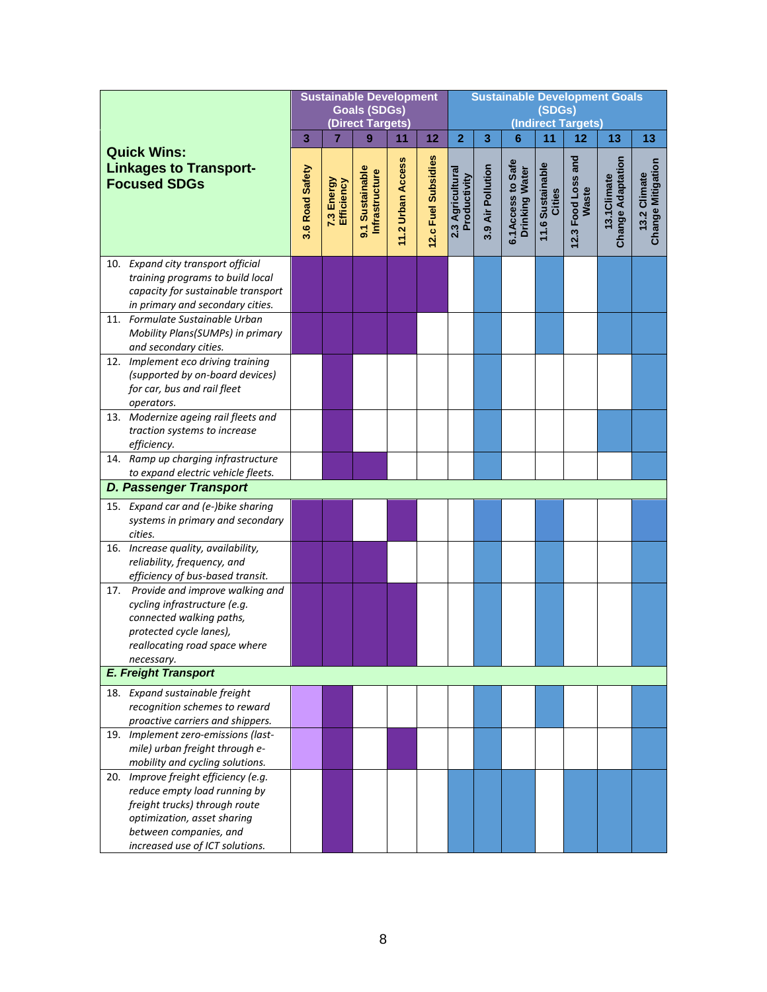|  |                                                                                                                                                                                                   |                 | <b>Sustainable Development</b><br><b>Goals (SDGs)</b><br>(Direct Targets) |                                          |                   |                     |                                  |                   | <b>Sustainable Development Goals</b><br>(SDGs)<br>(Indirect Targets) |                            |                             |                                          |                                  |  |
|--|---------------------------------------------------------------------------------------------------------------------------------------------------------------------------------------------------|-----------------|---------------------------------------------------------------------------|------------------------------------------|-------------------|---------------------|----------------------------------|-------------------|----------------------------------------------------------------------|----------------------------|-----------------------------|------------------------------------------|----------------------------------|--|
|  |                                                                                                                                                                                                   | 3               | 7                                                                         | 9                                        | 11                | 12                  | $\overline{2}$                   | 3                 | $6\phantom{1}6$                                                      | 11                         | 12                          | 13                                       | 13                               |  |
|  | <b>Quick Wins:</b><br><b>Linkages to Transport-</b><br><b>Focused SDGs</b>                                                                                                                        | 3.6 Road Safety | 7.3 Energy<br>Efficiency                                                  | 9.1 Sustainable<br><b>Infrastructure</b> | 11.2 Urban Access | 12.c Fuel Subsidies | 2.3 Agricultural<br>Productivity | 3.9 Air Pollution | 6.1Access to Safe<br>Drinking Water                                  | 11.6 Sustainable<br>Cities | 12.3 Food Loss and<br>Waste | <b>Change Adaptation</b><br>13.1 Climate | Change Mitigation<br>3.2 Climate |  |
|  | 10. Expand city transport official<br>training programs to build local<br>capacity for sustainable transport<br>in primary and secondary cities.                                                  |                 |                                                                           |                                          |                   |                     |                                  |                   |                                                                      |                            |                             |                                          |                                  |  |
|  | 11. Formulate Sustainable Urban<br>Mobility Plans(SUMPs) in primary<br>and secondary cities.                                                                                                      |                 |                                                                           |                                          |                   |                     |                                  |                   |                                                                      |                            |                             |                                          |                                  |  |
|  | 12. Implement eco driving training<br>(supported by on-board devices)<br>for car, bus and rail fleet<br>operators.                                                                                |                 |                                                                           |                                          |                   |                     |                                  |                   |                                                                      |                            |                             |                                          |                                  |  |
|  | 13. Modernize ageing rail fleets and<br>traction systems to increase<br>efficiency.                                                                                                               |                 |                                                                           |                                          |                   |                     |                                  |                   |                                                                      |                            |                             |                                          |                                  |  |
|  | 14. Ramp up charging infrastructure<br>to expand electric vehicle fleets.                                                                                                                         |                 |                                                                           |                                          |                   |                     |                                  |                   |                                                                      |                            |                             |                                          |                                  |  |
|  | <b>D. Passenger Transport</b>                                                                                                                                                                     |                 |                                                                           |                                          |                   |                     |                                  |                   |                                                                      |                            |                             |                                          |                                  |  |
|  | 15. Expand car and (e-)bike sharing<br>systems in primary and secondary<br>cities.                                                                                                                |                 |                                                                           |                                          |                   |                     |                                  |                   |                                                                      |                            |                             |                                          |                                  |  |
|  | 16. Increase quality, availability,<br>reliability, frequency, and<br>efficiency of bus-based transit.                                                                                            |                 |                                                                           |                                          |                   |                     |                                  |                   |                                                                      |                            |                             |                                          |                                  |  |
|  | 17. Provide and improve walking and<br>cycling infrastructure (e.g.<br>connected walking paths,<br>protected cycle lanes),                                                                        |                 |                                                                           |                                          |                   |                     |                                  |                   |                                                                      |                            |                             |                                          |                                  |  |
|  | reallocating road space where<br>necessary.                                                                                                                                                       |                 |                                                                           |                                          |                   |                     |                                  |                   |                                                                      |                            |                             |                                          |                                  |  |
|  | <b>E. Freight Transport</b>                                                                                                                                                                       |                 |                                                                           |                                          |                   |                     |                                  |                   |                                                                      |                            |                             |                                          |                                  |  |
|  | 18. Expand sustainable freight<br>recognition schemes to reward                                                                                                                                   |                 |                                                                           |                                          |                   |                     |                                  |                   |                                                                      |                            |                             |                                          |                                  |  |
|  | proactive carriers and shippers.<br>19. Implement zero-emissions (last-<br>mile) urban freight through e-<br>mobility and cycling solutions.                                                      |                 |                                                                           |                                          |                   |                     |                                  |                   |                                                                      |                            |                             |                                          |                                  |  |
|  | 20. Improve freight efficiency (e.g.<br>reduce empty load running by<br>freight trucks) through route<br>optimization, asset sharing<br>between companies, and<br>increased use of ICT solutions. |                 |                                                                           |                                          |                   |                     |                                  |                   |                                                                      |                            |                             |                                          |                                  |  |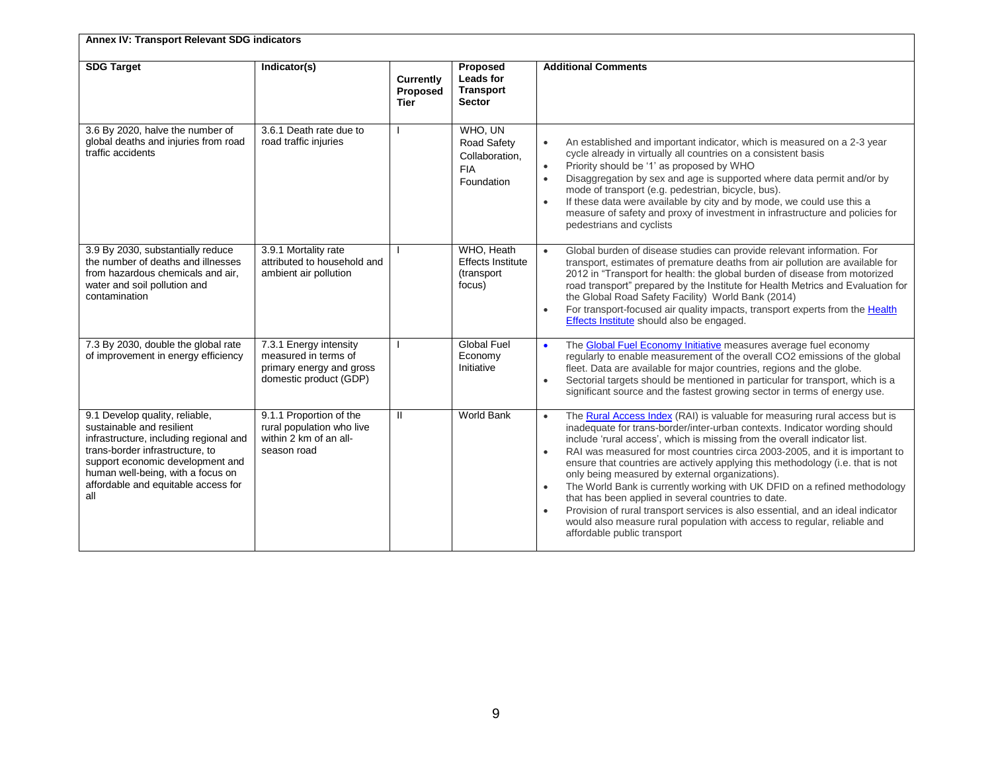| Annex IV: Transport Relevant SDG indicators                                                                                                                                                                                                                     |                                                                                                      |                                      |                                                                      |                                                                                                                                                                                                                                                                                                                                                                                                                                                                                                                                                                                                                                                                                                                                                                                                                                                 |  |  |  |  |
|-----------------------------------------------------------------------------------------------------------------------------------------------------------------------------------------------------------------------------------------------------------------|------------------------------------------------------------------------------------------------------|--------------------------------------|----------------------------------------------------------------------|-------------------------------------------------------------------------------------------------------------------------------------------------------------------------------------------------------------------------------------------------------------------------------------------------------------------------------------------------------------------------------------------------------------------------------------------------------------------------------------------------------------------------------------------------------------------------------------------------------------------------------------------------------------------------------------------------------------------------------------------------------------------------------------------------------------------------------------------------|--|--|--|--|
| <b>SDG Target</b>                                                                                                                                                                                                                                               | Indicator(s)                                                                                         | Currently<br>Proposed<br><b>Tier</b> | Proposed<br>Leads for<br><b>Transport</b><br><b>Sector</b>           | <b>Additional Comments</b>                                                                                                                                                                                                                                                                                                                                                                                                                                                                                                                                                                                                                                                                                                                                                                                                                      |  |  |  |  |
| 3.6 By 2020, halve the number of<br>global deaths and injuries from road<br>traffic accidents                                                                                                                                                                   | 3.6.1 Death rate due to<br>road traffic injuries                                                     |                                      | WHO, UN<br>Road Safety<br>Collaboration,<br><b>FIA</b><br>Foundation | An established and important indicator, which is measured on a 2-3 year<br>$\bullet$<br>cycle already in virtually all countries on a consistent basis<br>Priority should be '1' as proposed by WHO<br>$\bullet$<br>Disaggregation by sex and age is supported where data permit and/or by<br>mode of transport (e.g. pedestrian, bicycle, bus).<br>If these data were available by city and by mode, we could use this a<br>$\bullet$<br>measure of safety and proxy of investment in infrastructure and policies for<br>pedestrians and cyclists                                                                                                                                                                                                                                                                                              |  |  |  |  |
| 3.9 By 2030, substantially reduce<br>the number of deaths and illnesses<br>from hazardous chemicals and air,<br>water and soil pollution and<br>contamination                                                                                                   | 3.9.1 Mortality rate<br>attributed to household and<br>ambient air pollution                         |                                      | WHO, Heath<br><b>Effects Institute</b><br>(transport<br>focus)       | Global burden of disease studies can provide relevant information. For<br>transport, estimates of premature deaths from air pollution are available for<br>2012 in "Transport for health: the global burden of disease from motorized<br>road transport" prepared by the Institute for Health Metrics and Evaluation for<br>the Global Road Safety Facility) World Bank (2014)<br>For transport-focused air quality impacts, transport experts from the Health<br>$\bullet$<br>Effects Institute should also be engaged.                                                                                                                                                                                                                                                                                                                        |  |  |  |  |
| 7.3 By 2030, double the global rate<br>of improvement in energy efficiency                                                                                                                                                                                      | 7.3.1 Energy intensity<br>measured in terms of<br>primary energy and gross<br>domestic product (GDP) |                                      | <b>Global Fuel</b><br>Economy<br>Initiative                          | The Global Fuel Economy Initiative measures average fuel economy<br>$\bullet$<br>regularly to enable measurement of the overall CO2 emissions of the global<br>fleet. Data are available for major countries, regions and the globe.<br>Sectorial targets should be mentioned in particular for transport, which is a<br>$\bullet$<br>significant source and the fastest growing sector in terms of energy use.                                                                                                                                                                                                                                                                                                                                                                                                                                 |  |  |  |  |
| 9.1 Develop quality, reliable,<br>sustainable and resilient<br>infrastructure, including regional and<br>trans-border infrastructure, to<br>support economic development and<br>human well-being, with a focus on<br>affordable and equitable access for<br>all | 9.1.1 Proportion of the<br>rural population who live<br>within 2 km of an all-<br>season road        | $\mathbf{H}$                         | <b>World Bank</b>                                                    | The Rural Access Index (RAI) is valuable for measuring rural access but is<br>$\bullet$<br>inadequate for trans-border/inter-urban contexts. Indicator wording should<br>include 'rural access', which is missing from the overall indicator list.<br>RAI was measured for most countries circa 2003-2005, and it is important to<br>$\bullet$<br>ensure that countries are actively applying this methodology (i.e. that is not<br>only being measured by external organizations).<br>The World Bank is currently working with UK DFID on a refined methodology<br>$\bullet$<br>that has been applied in several countries to date.<br>Provision of rural transport services is also essential, and an ideal indicator<br>$\bullet$<br>would also measure rural population with access to regular, reliable and<br>affordable public transport |  |  |  |  |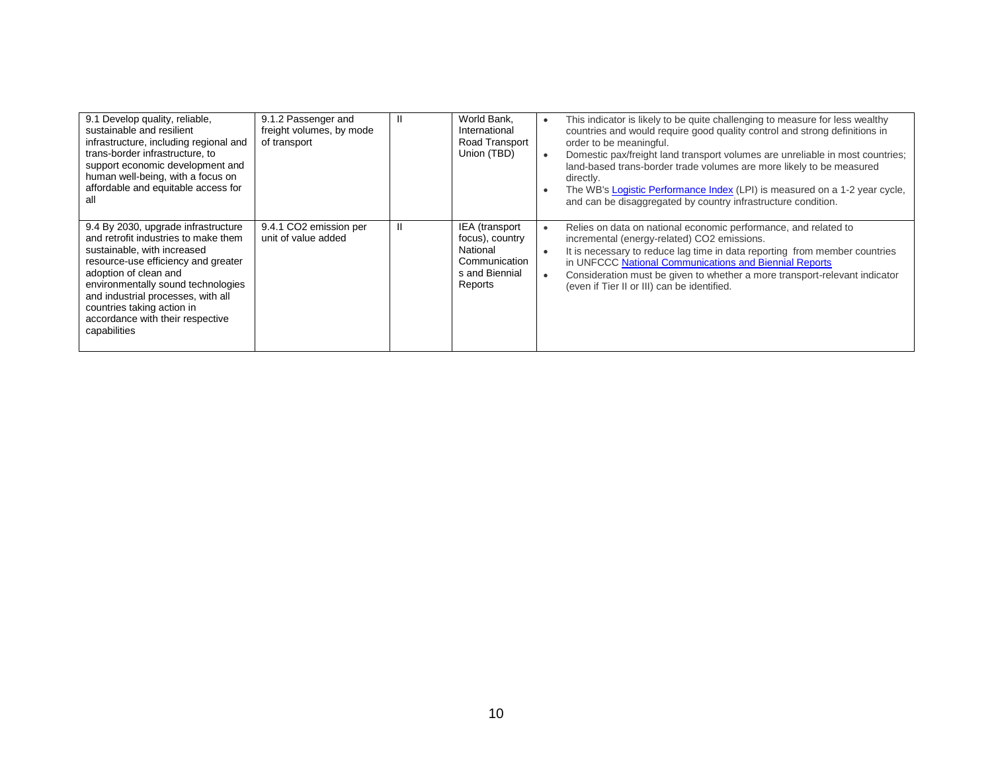| 9.1 Develop quality, reliable,<br>sustainable and resilient<br>infrastructure, including regional and<br>trans-border infrastructure, to<br>support economic development and<br>human well-being, with a focus on<br>affordable and equitable access for<br>aı                                                                           | 9.1.2 Passenger and<br>freight volumes, by mode<br>of transport |   | World Bank.<br>International<br>Road Transport<br>Union (TBD)                               | This indicator is likely to be quite challenging to measure for less wealthy<br>countries and would require good quality control and strong definitions in<br>order to be meaningful.<br>Domestic pax/freight land transport volumes are unreliable in most countries;<br>land-based trans-border trade volumes are more likely to be measured<br>directly.<br>The WB's Logistic Performance Index (LPI) is measured on a 1-2 year cycle,<br>and can be disaggregated by country infrastructure condition. |
|------------------------------------------------------------------------------------------------------------------------------------------------------------------------------------------------------------------------------------------------------------------------------------------------------------------------------------------|-----------------------------------------------------------------|---|---------------------------------------------------------------------------------------------|------------------------------------------------------------------------------------------------------------------------------------------------------------------------------------------------------------------------------------------------------------------------------------------------------------------------------------------------------------------------------------------------------------------------------------------------------------------------------------------------------------|
| 9.4 By 2030, upgrade infrastructure<br>and retrofit industries to make them<br>sustainable, with increased<br>resource-use efficiency and greater<br>adoption of clean and<br>environmentally sound technologies<br>and industrial processes, with all<br>countries taking action in<br>accordance with their respective<br>capabilities | 9.4.1 CO2 emission per<br>unit of value added                   | H | IEA (transport<br>focus), country<br>National<br>Communication<br>s and Biennial<br>Reports | Relies on data on national economic performance, and related to<br>incremental (energy-related) CO2 emissions.<br>It is necessary to reduce lag time in data reporting from member countries<br>in UNFCCC National Communications and Biennial Reports<br>Consideration must be given to whether a more transport-relevant indicator<br>(even if Tier II or III) can be identified.                                                                                                                        |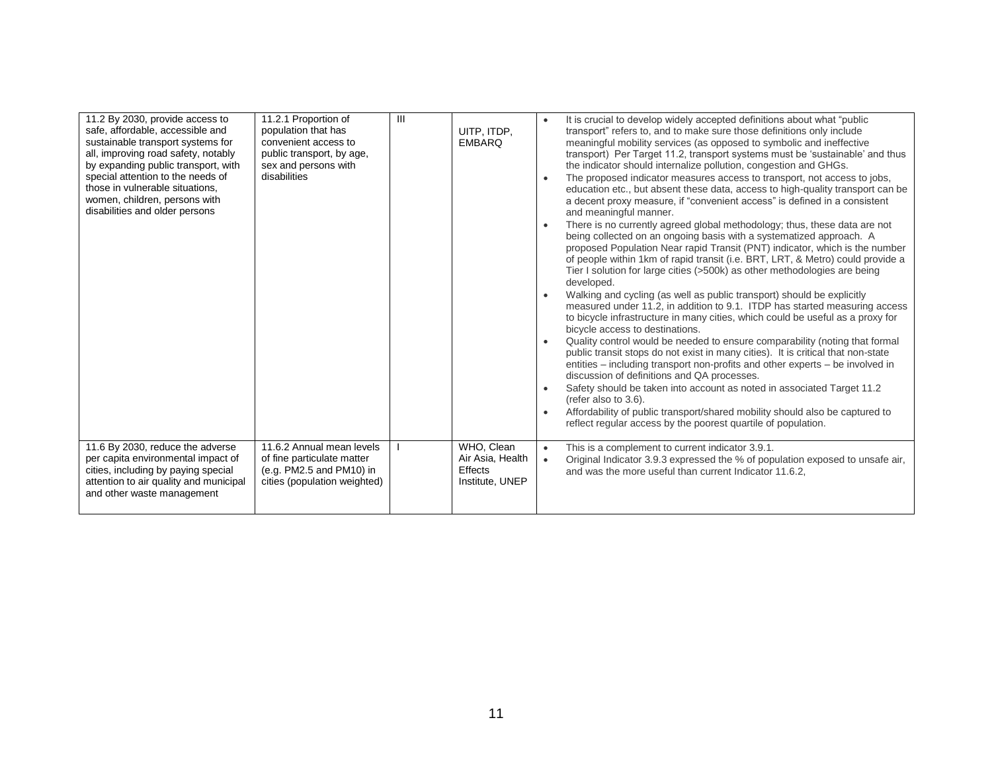| 11.2 By 2030, provide access to<br>safe, affordable, accessible and<br>sustainable transport systems for<br>all, improving road safety, notably<br>by expanding public transport, with<br>special attention to the needs of<br>those in vulnerable situations,<br>women, children, persons with<br>disabilities and older persons | 11.2.1 Proportion of<br>population that has<br>convenient access to<br>public transport, by age,<br>sex and persons with<br>disabilities | $\mathbf{III}$ | UITP, ITDP,<br><b>EMBARO</b>                                 | It is crucial to develop widely accepted definitions about what "public"<br>transport" refers to, and to make sure those definitions only include<br>meaningful mobility services (as opposed to symbolic and ineffective<br>transport) Per Target 11.2, transport systems must be 'sustainable' and thus<br>the indicator should internalize pollution, congestion and GHGs.<br>The proposed indicator measures access to transport, not access to jobs,<br>$\bullet$<br>education etc., but absent these data, access to high-quality transport can be<br>a decent proxy measure, if "convenient access" is defined in a consistent<br>and meaningful manner.<br>There is no currently agreed global methodology; thus, these data are not<br>$\bullet$<br>being collected on an ongoing basis with a systematized approach. A<br>proposed Population Near rapid Transit (PNT) indicator, which is the number<br>of people within 1km of rapid transit (i.e. BRT, LRT, & Metro) could provide a<br>Tier I solution for large cities (>500k) as other methodologies are being<br>developed.<br>Walking and cycling (as well as public transport) should be explicitly<br>$\bullet$<br>measured under 11.2, in addition to 9.1. ITDP has started measuring access<br>to bicycle infrastructure in many cities, which could be useful as a proxy for<br>bicycle access to destinations.<br>Quality control would be needed to ensure comparability (noting that formal<br>public transit stops do not exist in many cities). It is critical that non-state<br>entities – including transport non-profits and other experts – be involved in<br>discussion of definitions and QA processes.<br>Safety should be taken into account as noted in associated Target 11.2<br>$\bullet$<br>(refer also to 3.6).<br>Affordability of public transport/shared mobility should also be captured to<br>reflect regular access by the poorest quartile of population. |
|-----------------------------------------------------------------------------------------------------------------------------------------------------------------------------------------------------------------------------------------------------------------------------------------------------------------------------------|------------------------------------------------------------------------------------------------------------------------------------------|----------------|--------------------------------------------------------------|-----------------------------------------------------------------------------------------------------------------------------------------------------------------------------------------------------------------------------------------------------------------------------------------------------------------------------------------------------------------------------------------------------------------------------------------------------------------------------------------------------------------------------------------------------------------------------------------------------------------------------------------------------------------------------------------------------------------------------------------------------------------------------------------------------------------------------------------------------------------------------------------------------------------------------------------------------------------------------------------------------------------------------------------------------------------------------------------------------------------------------------------------------------------------------------------------------------------------------------------------------------------------------------------------------------------------------------------------------------------------------------------------------------------------------------------------------------------------------------------------------------------------------------------------------------------------------------------------------------------------------------------------------------------------------------------------------------------------------------------------------------------------------------------------------------------------------------------------------------------------------------------------------------------------------------------------------------|
| 11.6 By 2030, reduce the adverse<br>per capita environmental impact of<br>cities, including by paying special<br>attention to air quality and municipal<br>and other waste management                                                                                                                                             | 11.6.2 Annual mean levels<br>of fine particulate matter<br>(e.g. PM2.5 and PM10) in<br>cities (population weighted)                      |                | WHO. Clean<br>Air Asia, Health<br>Effects<br>Institute, UNEP | This is a complement to current indicator 3.9.1.<br>$\bullet$<br>Original Indicator 3.9.3 expressed the % of population exposed to unsafe air,<br>$\bullet$<br>and was the more useful than current Indicator 11.6.2.                                                                                                                                                                                                                                                                                                                                                                                                                                                                                                                                                                                                                                                                                                                                                                                                                                                                                                                                                                                                                                                                                                                                                                                                                                                                                                                                                                                                                                                                                                                                                                                                                                                                                                                                     |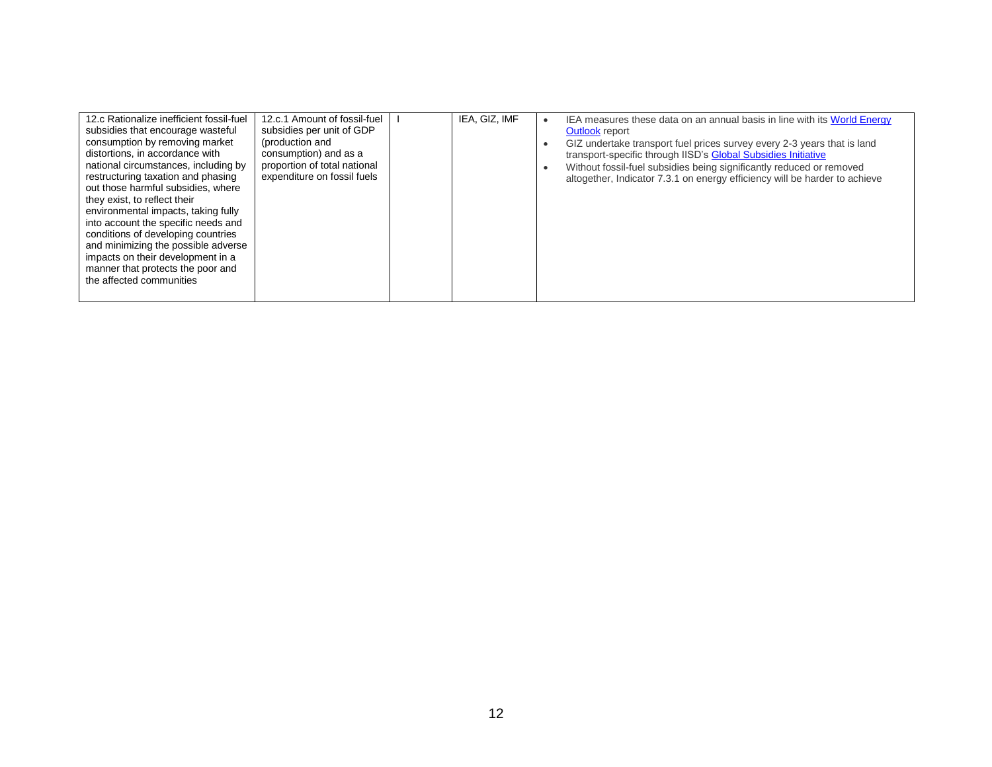| 12.c Rationalize inefficient fossil-fuel<br>subsidies that encourage wasteful<br>consumption by removing market<br>distortions, in accordance with<br>national circumstances, including by<br>restructuring taxation and phasing<br>out those harmful subsidies, where<br>they exist, to reflect their<br>environmental impacts, taking fully<br>into account the specific needs and<br>conditions of developing countries<br>and minimizing the possible adverse<br>impacts on their development in a<br>manner that protects the poor and<br>the affected communities | 12.c.1 Amount of fossil-fuel<br>subsidies per unit of GDP<br>(production and<br>consumption) and as a<br>proportion of total national<br>expenditure on fossil fuels |  | IEA, GIZ, IMF |  | IEA measures these data on an annual basis in line with its World Energy<br>Outlook report<br>GIZ undertake transport fuel prices survey every 2-3 years that is land<br>transport-specific through IISD's Global Subsidies Initiative<br>Without fossil-fuel subsidies being significantly reduced or removed<br>altogether, Indicator 7.3.1 on energy efficiency will be harder to achieve |
|-------------------------------------------------------------------------------------------------------------------------------------------------------------------------------------------------------------------------------------------------------------------------------------------------------------------------------------------------------------------------------------------------------------------------------------------------------------------------------------------------------------------------------------------------------------------------|----------------------------------------------------------------------------------------------------------------------------------------------------------------------|--|---------------|--|----------------------------------------------------------------------------------------------------------------------------------------------------------------------------------------------------------------------------------------------------------------------------------------------------------------------------------------------------------------------------------------------|
|-------------------------------------------------------------------------------------------------------------------------------------------------------------------------------------------------------------------------------------------------------------------------------------------------------------------------------------------------------------------------------------------------------------------------------------------------------------------------------------------------------------------------------------------------------------------------|----------------------------------------------------------------------------------------------------------------------------------------------------------------------|--|---------------|--|----------------------------------------------------------------------------------------------------------------------------------------------------------------------------------------------------------------------------------------------------------------------------------------------------------------------------------------------------------------------------------------------|